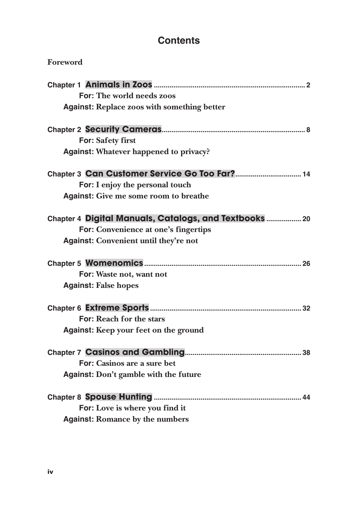# **Contents**

| Foreword                                               |
|--------------------------------------------------------|
|                                                        |
| <b>For: The world needs zoos</b>                       |
| <b>Against: Replace zoos with something better</b>     |
|                                                        |
| For: Safety first                                      |
| <b>Against: Whatever happened to privacy?</b>          |
| Chapter 3 Can Customer Service Go Too Far? 14          |
| For: I enjoy the personal touch                        |
| <b>Against:</b> Give me some room to breathe           |
| Chapter 4 Digital Manuals, Catalogs, and Textbooks  20 |
| For: Convenience at one's fingertips                   |
| <b>Against:</b> Convenient until they're not           |
|                                                        |
| For: Waste not, want not                               |
| <b>Against: False hopes</b>                            |
|                                                        |
| For: Reach for the stars                               |
| Against: Keep your feet on the ground                  |
|                                                        |
| For: Casinos are a sure bet                            |
| Against: Don't gamble with the future                  |
|                                                        |
| For: Love is where you find it                         |
| <b>Against: Romance by the numbers</b>                 |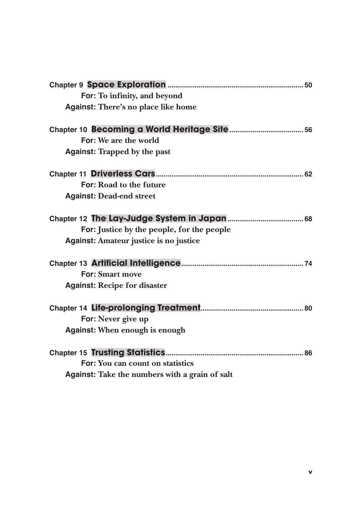| For: To infinity, and beyond                   |  |
|------------------------------------------------|--|
| Against: There's no place like home            |  |
|                                                |  |
| For: We are the world                          |  |
| <b>Against: Trapped by the past</b>            |  |
|                                                |  |
| For: Road to the future                        |  |
| <b>Against: Dead-end street</b>                |  |
|                                                |  |
| For: Justice by the people, for the people     |  |
| Against: Amateur justice is no justice         |  |
|                                                |  |
| <b>For: Smart move</b>                         |  |
| <b>Against: Recipe for disaster</b>            |  |
|                                                |  |
| For: Never give up                             |  |
| Against: When enough is enough                 |  |
|                                                |  |
| For: You can count on statistics               |  |
| Against: Take the numbers with a grain of salt |  |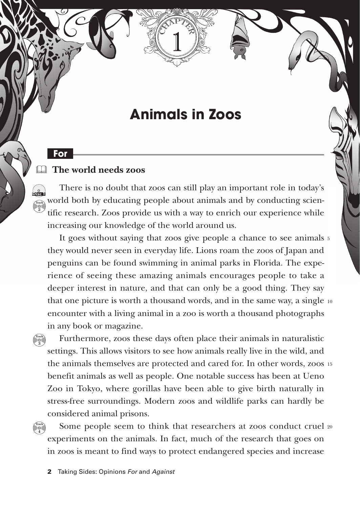# **Animals in Zoos**

#### **The world needs zoos** &

**For**

 $\int_{\text{DIG}}$ **Track 2**

> **Track 3**

> **Track 4**

There is no doubt that zoos can still play an important role in today's world both by educating people about animals and by conducting scientific research. Zoos provide us with a way to enrich our experience while increasing our knowledge of the world around us.

It goes without saying that zoos give people a chance to see animals 5 they would never seen in everyday life. Lions roam the zoos of Japan and penguins can be found swimming in animal parks in Florida. The experience of seeing these amazing animals encourages people to take a deeper interest in nature, and that can only be a good thing. They say that one picture is worth a thousand words, and in the same way, a single 10 encounter with a living animal in a zoo is worth a thousand photographs in any book or magazine.

Furthermore, zoos these days often place their animals in naturalistic settings. This allows visitors to see how animals really live in the wild, and the animals themselves are protected and cared for. In other words, zoos 15 benefit animals as well as people. One notable success has been at Ueno Zoo in Tokyo, where gorillas have been able to give birth naturally in stress-free surroundings. Modern zoos and wildlife parks can hardly be considered animal prisons.

Some people seem to think that researchers at zoos conduct cruel 20experiments on the animals. In fact, much of the research that goes on in zoos is meant to find ways to protect endangered species and increase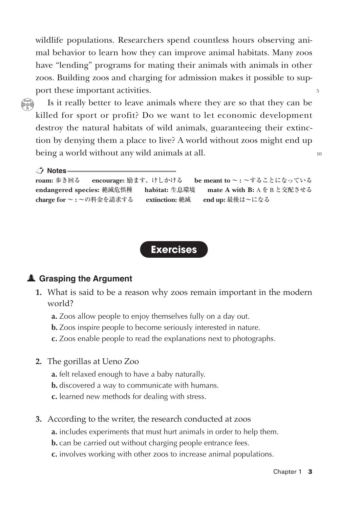wildlife populations. Researchers spend countless hours observing animal behavior to learn how they can improve animal habitats. Many zoos have "lending" programs for mating their animals with animals in other zoos. Building zoos and charging for admission makes it possible to support these important activities.

**Track 5**

Is it really better to leave animals where they are so that they can be killed for sport or profit? Do we want to let economic development destroy the natural habitats of wild animals, guaranteeing their extinction by denying them a place to live? A world without zoos might end up being a world without any wild animals at all.

 **Notes roam:** 歩き回る **encourage:** 励ます、けしかける **be meant to** ~ **:** ~することになっている **endangered species:** 絶滅危惧種 **habitat:** 生息環境 **mate A with B:** A を B と交配させる **charge for** ~ **:** ~の料金を請求する **extinction:** 絶滅 **end up:** 最後は~になる



# **Grasping the Argument**

- **1.** What is said to be a reason why zoos remain important in the modern world?
	- **a.** Zoos allow people to enjoy themselves fully on a day out.
	- **b.** Zoos inspire people to become seriously interested in nature.
	- **c.** Zoos enable people to read the explanations next to photographs.
- **2.** The gorillas at Ueno Zoo
	- **a.** felt relaxed enough to have a baby naturally.
	- **b.** discovered a way to communicate with humans.
	- **c.** learned new methods for dealing with stress.
- **3.** According to the writer, the research conducted at zoos
	- **a.** includes experiments that must hurt animals in order to help them.
	- **b.** can be carried out without charging people entrance fees.
	- **c.** involves working with other zoos to increase animal populations.

 $\sim$ 

10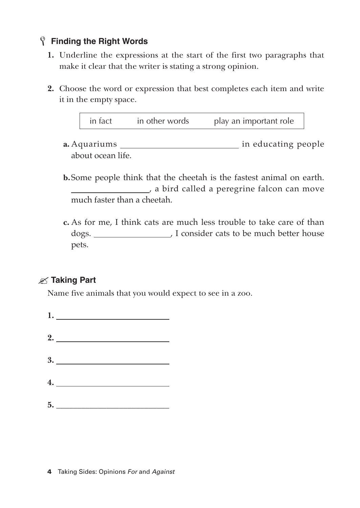### **Finding the Right Words** L

- **1.** Underline the expressions at the start of the first two paragraphs that make it clear that the writer is stating a strong opinion.
- **2.** Choose the word or expression that best completes each item and write it in the empty space.

| in fact | in other words |  | play an important role |
|---------|----------------|--|------------------------|
|---------|----------------|--|------------------------|

- **a.** Aquariums in educating people about ocean life.
- **b.**Some people think that the cheetah is the fastest animal on earth. a bird called a peregrine falcon can move much faster than a cheetah.
- **c.** As for me, I think cats are much less trouble to take care of than dogs. , I consider cats to be much better house pets.

# **Taking Part**

Name five animals that you would expect to see in a zoo.

**1. 2. 3. 4. 5. \_\_\_\_\_\_\_\_\_\_\_\_\_\_\_\_\_\_\_\_\_\_\_\_\_\_\_**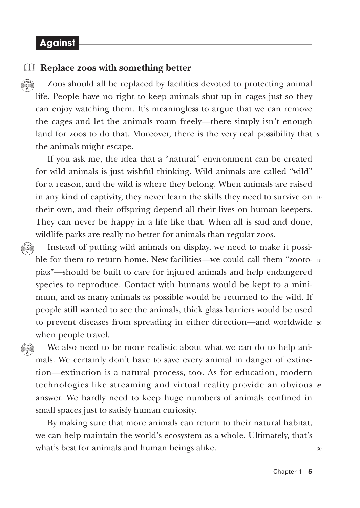### **Against**

 $\Box$ **Track**

**6**

**Track 7**

**Track 8**

#### **Replace zoos with something better**

Zoos should all be replaced by facilities devoted to protecting animal life. People have no right to keep animals shut up in cages just so they can enjoy watching them. It's meaningless to argue that we can remove the cages and let the animals roam freely—there simply isn't enough land for zoos to do that. Moreover, there is the very real possibility that 5 the animals might escape.

If you ask me, the idea that a "natural" environment can be created for wild animals is just wishful thinking. Wild animals are called "wild" for a reason, and the wild is where they belong. When animals are raised in any kind of captivity, they never learn the skills they need to survive on  $_{\rm 10}$ their own, and their offspring depend all their lives on human keepers. They can never be happy in a life like that. When all is said and done, wildlife parks are really no better for animals than regular zoos.

Instead of putting wild animals on display, we need to make it possible for them to return home. New facilities—we could call them "zooto-15 pias"—should be built to care for injured animals and help endangered species to reproduce. Contact with humans would be kept to a minimum, and as many animals as possible would be returned to the wild. If people still wanted to see the animals, thick glass barriers would be used to prevent diseases from spreading in either direction—and worldwide 20 when people travel.

We also need to be more realistic about what we can do to help animals. We certainly don't have to save every animal in danger of extinction—extinction is a natural process, too. As for education, modern technologies like streaming and virtual reality provide an obvious 25 answer. We hardly need to keep huge numbers of animals confined in small spaces just to satisfy human curiosity.

By making sure that more animals can return to their natural habitat, we can help maintain the world's ecosystem as a whole. Ultimately, that's what's best for animals and human beings alike.

30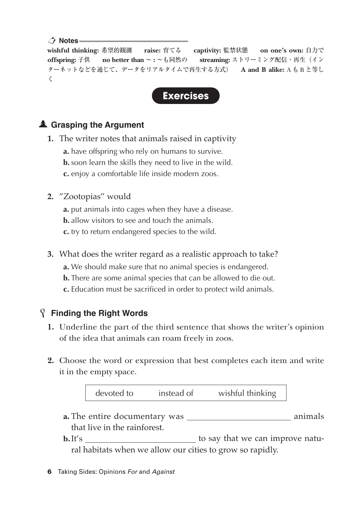#### **∠<sup>+</sup>** Notes –

**wishful thinking:** 希望的観測 **raise:** 育てる **captivity:** 監禁状態 **on one's own:** 自力で **offspring:** 子供 **no better than** ~ **:** ~も同然の **streaming:** ストリーミング配信・再生(イン ターネットなどを通じて、データをリアルタイムで再生する方式) **A and B alike:** A も B と等し く



# **Grasping the Argument**

- **1.** The writer notes that animals raised in captivity
	- **a.** have offspring who rely on humans to survive.
	- **b.** soon learn the skills they need to live in the wild.
	- **c.** enjoy a comfortable life inside modern zoos.
- **2.** "Zootopias" would
	- **a.** put animals into cages when they have a disease.
	- **b.** allow visitors to see and touch the animals.
	- **c.** try to return endangered species to the wild.
- **3.** What does the writer regard as a realistic approach to take?
	- **a.** We should make sure that no animal species is endangered.
	- **b.** There are some animal species that can be allowed to die out.
	- **c.** Education must be sacrificed in order to protect wild animals.

# **Finding the Right Words** L

- **1.** Underline the part of the third sentence that shows the writer's opinion of the idea that animals can roam freely in zoos.
- **2.** Choose the word or expression that best completes each item and write it in the empty space.

| devoted to | instead of | wishful thinking |
|------------|------------|------------------|
|------------|------------|------------------|

- **a.** The entire documentary was animals that live in the rainforest.
- **b.**It's to say that we can improve natural habitats when we allow our cities to grow so rapidly.